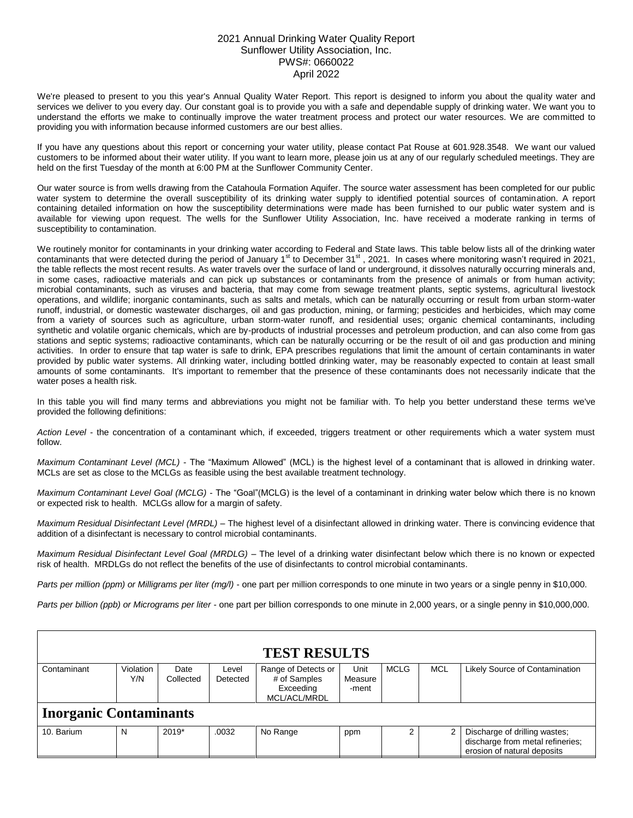## 2021 Annual Drinking Water Quality Report Sunflower Utility Association, Inc. PWS#: 0660022 April 2022

We're pleased to present to you this year's Annual Quality Water Report. This report is designed to inform you about the quality water and services we deliver to you every day. Our constant goal is to provide you with a safe and dependable supply of drinking water. We want you to understand the efforts we make to continually improve the water treatment process and protect our water resources. We are committed to providing you with information because informed customers are our best allies.

If you have any questions about this report or concerning your water utility, please contact Pat Rouse at 601.928.3548. We want our valued customers to be informed about their water utility. If you want to learn more, please join us at any of our regularly scheduled meetings. They are held on the first Tuesday of the month at 6:00 PM at the Sunflower Community Center.

Our water source is from wells drawing from the Catahoula Formation Aquifer. The source water assessment has been completed for our public water system to determine the overall susceptibility of its drinking water supply to identified potential sources of contamination. A report containing detailed information on how the susceptibility determinations were made has been furnished to our public water system and is available for viewing upon request. The wells for the Sunflower Utility Association, Inc. have received a moderate ranking in terms of susceptibility to contamination.

We routinely monitor for contaminants in your drinking water according to Federal and State laws. This table below lists all of the drinking water contaminants that were detected during the period of January 1st to December 31st, 2021. In cases where monitoring wasn't required in 2021, the table reflects the most recent results. As water travels over the surface of land or underground, it dissolves naturally occurring minerals and, in some cases, radioactive materials and can pick up substances or contaminants from the presence of animals or from human activity; microbial contaminants, such as viruses and bacteria, that may come from sewage treatment plants, septic systems, agricultural livestock operations, and wildlife; inorganic contaminants, such as salts and metals, which can be naturally occurring or result from urban storm-water runoff, industrial, or domestic wastewater discharges, oil and gas production, mining, or farming; pesticides and herbicides, which may come from a variety of sources such as agriculture, urban storm-water runoff, and residential uses; organic chemical contaminants, including synthetic and volatile organic chemicals, which are by-products of industrial processes and petroleum production, and can also come from gas stations and septic systems; radioactive contaminants, which can be naturally occurring or be the result of oil and gas production and mining activities. In order to ensure that tap water is safe to drink, EPA prescribes regulations that limit the amount of certain contaminants in water provided by public water systems. All drinking water, including bottled drinking water, may be reasonably expected to contain at least small amounts of some contaminants. It's important to remember that the presence of these contaminants does not necessarily indicate that the water poses a health risk.

In this table you will find many terms and abbreviations you might not be familiar with. To help you better understand these terms we've provided the following definitions:

*Action Level* - the concentration of a contaminant which, if exceeded, triggers treatment or other requirements which a water system must follow.

*Maximum Contaminant Level (MCL)* - The "Maximum Allowed" (MCL) is the highest level of a contaminant that is allowed in drinking water. MCLs are set as close to the MCLGs as feasible using the best available treatment technology.

*Maximum Contaminant Level Goal (MCLG)* - The "Goal"(MCLG) is the level of a contaminant in drinking water below which there is no known or expected risk to health. MCLGs allow for a margin of safety.

*Maximum Residual Disinfectant Level (MRDL)* – The highest level of a disinfectant allowed in drinking water. There is convincing evidence that addition of a disinfectant is necessary to control microbial contaminants.

*Maximum Residual Disinfectant Level Goal (MRDLG)* – The level of a drinking water disinfectant below which there is no known or expected risk of health. MRDLGs do not reflect the benefits of the use of disinfectants to control microbial contaminants.

*Parts per million (ppm) or Milligrams per liter (mg/l)* - one part per million corresponds to one minute in two years or a single penny in \$10,000.

*Parts per billion (ppb) or Micrograms per liter* - one part per billion corresponds to one minute in 2,000 years, or a single penny in \$10,000,000.

| <b>TEST RESULTS</b>           |                  |                                                                                     |       |                     |                          |                      |            |                                                                                                  |  |  |  |
|-------------------------------|------------------|-------------------------------------------------------------------------------------|-------|---------------------|--------------------------|----------------------|------------|--------------------------------------------------------------------------------------------------|--|--|--|
| Contaminant                   | Violation<br>Y/N | Date<br>Level<br># of Samples<br>Collected<br>Detected<br>Exceeding<br>MCL/ACL/MRDL |       | Range of Detects or | Unit<br>Measure<br>-ment | <b>MCLG</b>          | <b>MCL</b> | Likely Source of Contamination                                                                   |  |  |  |
| <b>Inorganic Contaminants</b> |                  |                                                                                     |       |                     |                          |                      |            |                                                                                                  |  |  |  |
| 10. Barium                    | N                | $2019*$                                                                             | .0032 | No Range            | ppm                      | $\mathbf{2}^{\circ}$ |            | Discharge of drilling wastes;<br>discharge from metal refineries;<br>erosion of natural deposits |  |  |  |